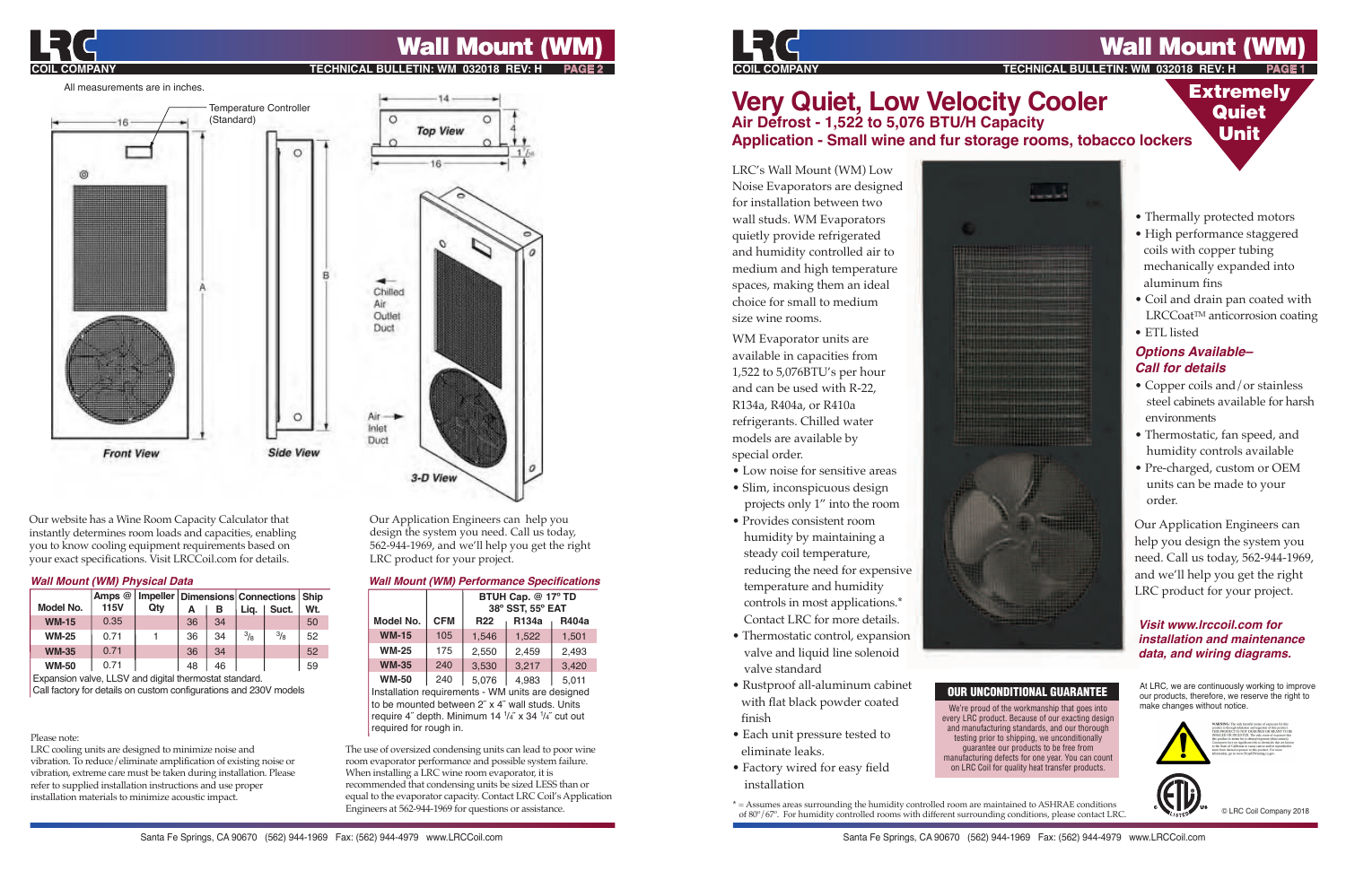

# **Wall Mount (W**

**TECHNICAL BULLETIN: WM 032018 REV: H** 

# **Very Quiet, Low Velocity Cooler Air Defrost - 1,522 to 5,076 BTU/H Capacity Application - Small wine and fur storage rooms, tobacco lockers**

LRC's Wall Mount (WM) Low Noise Evaporators are designed for installation between two wall studs. WM Evaporators quietly provide refrigerated and humidity controlled air to medium and high temperature spaces, making them an ideal choice for small to medium size wine rooms.

WM Evaporator units are available in capacities from 1,522 to 5,076BTU's per hour and can be used with R-22, R134a, R404a, or R410a refrigerants. Chilled water models are available by special order.

- Low noise for sensitive areas
- Slim, inconspicuous design
- projects only 1" into the room • Provides consistent room humidity by maintaining a steady coil temperature, reducing the need for expensive temperature and humidity controls in most applications.\* Contact LRC for more details.
- Thermostatic control, expansion valve and liquid line solenoid valve standard
- Rustproof all-aluminum cabinet with flat black powder coated finish
- Each unit pressure tested to eliminate leaks.
- Factory wired for easy field installation



## OUR UNCONDITIONAL GUARANTEE

We're proud of the workmanship that goes into every LRC product. Because of our exacting design and manufacturing standards, and our thorough testing prior to shipping, we unconditionally guarantee our products to be free from manufacturing defects for one year. You can count on LRC Coil for quality heat transfer products.

• Thermally protected motors

**Extremely Quiet** Unit

- High performance staggered coils with copper tubing mechanically expanded into aluminum fins
- Coil and drain pan coated with LRCCoat<sup>™</sup> anticorrosion coating
- ETL listed

## **Options Available– Call for details**

- Copper coils and/or stainless steel cabinets available for harsh environments
- Thermostatic, fan speed, and humidity controls available
- Pre-charged, custom or OEM units can be made to your order.

Our Application Engineers can help you design the system you need. Call us today, 562-944-1969, and we'll help you get the right LRC product for your project.

### **Visit www.lrccoil.com for installation and maintenance data, and wiring diagrams.**

At LRC, we are continuously working to improve our products, therefore, we reserve the right to make changes without notice.



© LRC Coil Company 2018

**\*** = Assumes areas surrounding the humidity controlled room are maintained to ASHRAE conditions